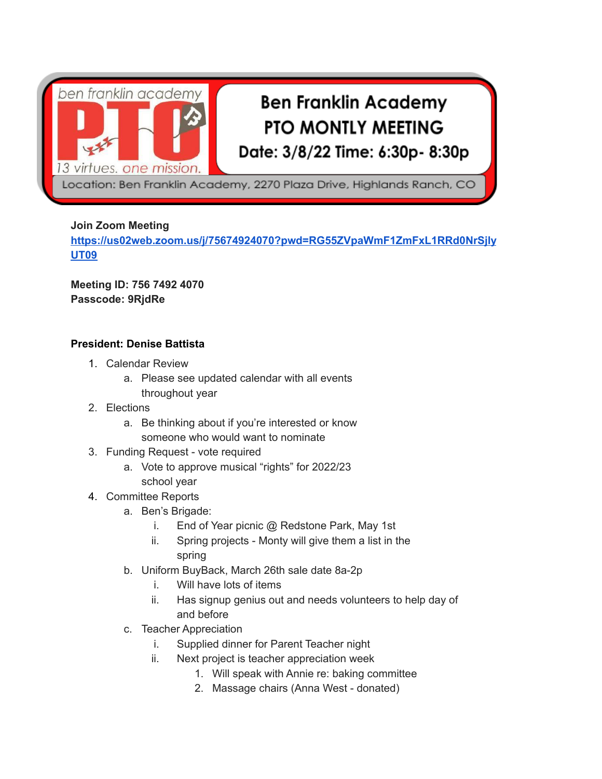

# **Ben Franklin Academy PTO MONTLY MEETING**

Date: 3/8/22 Time: 6:30p- 8:30p

Location: Ben Franklin Academy, 2270 Plaza Drive, Highlands Ranch, CO

# **Join Zoom Meeting**

**[https://us02web.zoom.us/j/75674924070?pwd=RG55ZVpaWmF1ZmFxL1RRd0NrSjly](https://us02web.zoom.us/j/75674924070?pwd=RG55ZVpaWmF1ZmFxL1RRd0NrSjlyUT09) [UT09](https://us02web.zoom.us/j/75674924070?pwd=RG55ZVpaWmF1ZmFxL1RRd0NrSjlyUT09)**

**Meeting ID: 756 7492 4070 Passcode: 9RjdRe**

# **President: Denise Battista**

- 1. Calendar Review
	- a. Please see updated calendar with all events throughout year
- 2. Elections
	- a. Be thinking about if you're interested or know someone who would want to nominate
- 3. Funding Request vote required
	- a. Vote to approve musical "rights" for 2022/23 school year
- 4. Committee Reports
	- a. Ben's Brigade:
		- i. End of Year picnic @ Redstone Park, May 1st
		- ii. Spring projects Monty will give them a list in the spring
	- b. Uniform BuyBack, March 26th sale date 8a-2p
		- i. Will have lots of items
		- ii. Has signup genius out and needs volunteers to help day of and before
	- c. Teacher Appreciation
		- i. Supplied dinner for Parent Teacher night
		- ii. Next project is teacher appreciation week
			- 1. Will speak with Annie re: baking committee
			- 2. Massage chairs (Anna West donated)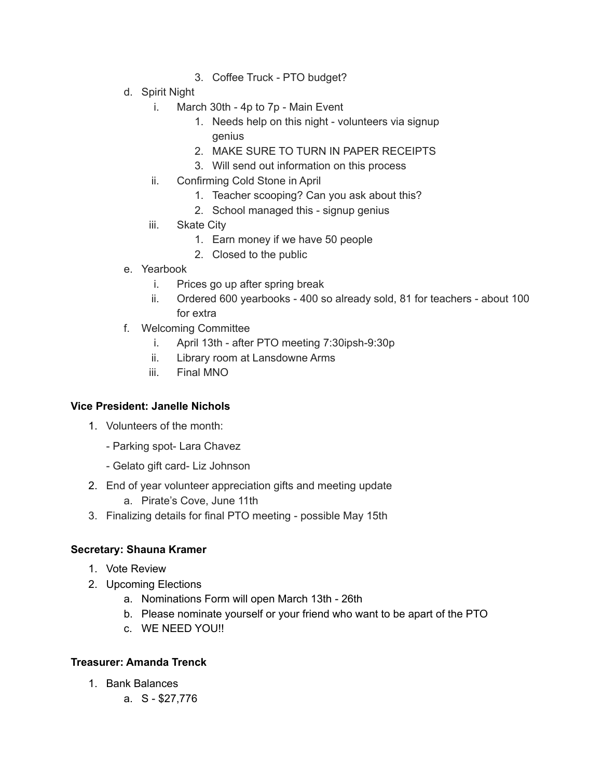- 3. Coffee Truck PTO budget?
- d. Spirit Night
	- i. March 30th 4p to 7p Main Event
		- 1. Needs help on this night volunteers via signup genius
		- 2. MAKE SURE TO TURN IN PAPER RECEIPTS
		- 3. Will send out information on this process
	- ii. Confirming Cold Stone in April
		- 1. Teacher scooping? Can you ask about this?
		- 2. School managed this signup genius
	- iii. Skate City
		- 1. Earn money if we have 50 people
		- 2. Closed to the public
- e. Yearbook
	- i. Prices go up after spring break
	- ii. Ordered 600 yearbooks 400 so already sold, 81 for teachers about 100 for extra
- f. Welcoming Committee
	- i. April 13th after PTO meeting 7:30ipsh-9:30p
	- ii. Library room at Lansdowne Arms
	- iii. Final MNO

# **Vice President: Janelle Nichols**

- 1. Volunteers of the month:
	- Parking spot- Lara Chavez
	- Gelato gift card- Liz Johnson
- 2. End of year volunteer appreciation gifts and meeting update a. Pirate's Cove, June 11th
- 3. Finalizing details for final PTO meeting possible May 15th

# **Secretary: Shauna Kramer**

- 1. Vote Review
- 2. Upcoming Elections
	- a. Nominations Form will open March 13th 26th
	- b. Please nominate yourself or your friend who want to be apart of the PTO
	- c. WE NEED YOU!!

# **Treasurer: Amanda Trenck**

- 1. Bank Balances
	- a. S \$27,776